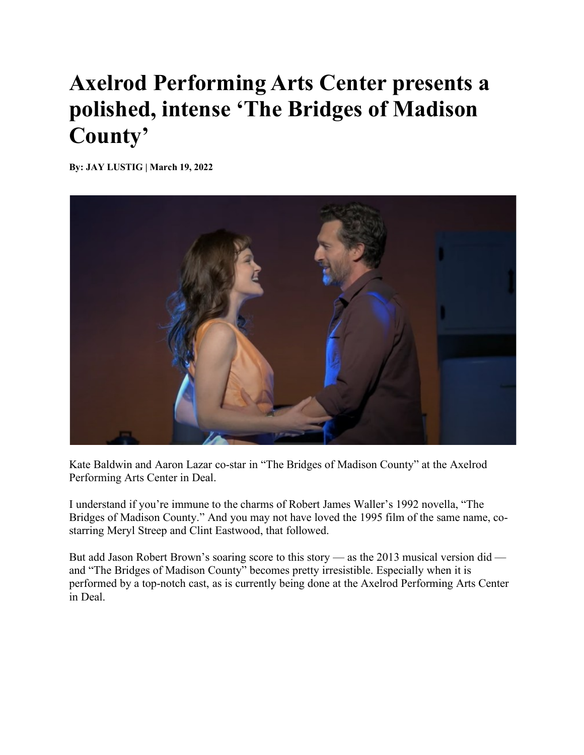## **Axelrod Performing Arts Center presents a polished, intense 'The Bridges of Madison County'**

**By: JAY LUSTIG | March 19, 2022**



Kate Baldwin and Aaron Lazar co-star in "The Bridges of Madison County" at the Axelrod Performing Arts Center in Deal.

I understand if you're immune to the charms of Robert James Waller's 1992 novella, "The Bridges of Madison County." And you may not have loved the 1995 film of the same name, costarring Meryl Streep and Clint Eastwood, that followed.

But add Jason Robert Brown's soaring score to this story — as the 2013 musical version did and "The Bridges of Madison County" becomes pretty irresistible. Especially when it is performed by a top-notch cast, as is currently being done at the Axelrod Performing Arts Center in Deal.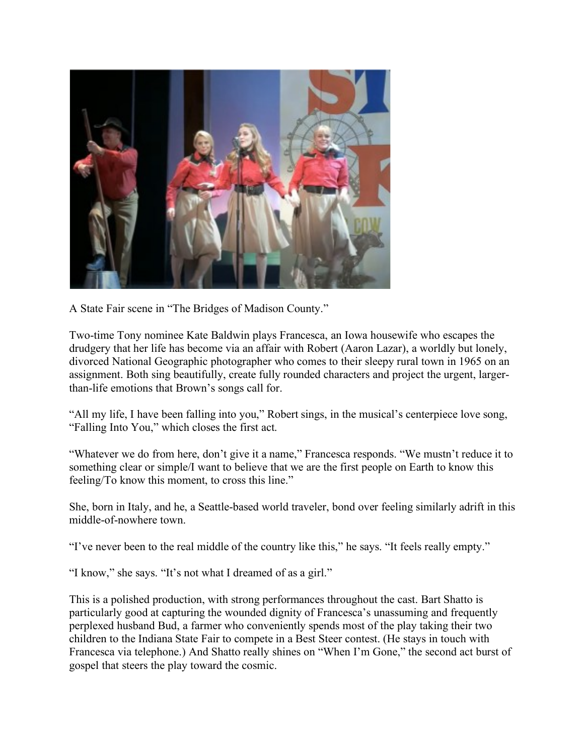

A State Fair scene in "The Bridges of Madison County."

Two-time Tony nominee Kate Baldwin plays Francesca, an Iowa housewife who escapes the drudgery that her life has become via an affair with Robert (Aaron Lazar), a worldly but lonely, divorced National Geographic photographer who comes to their sleepy rural town in 1965 on an assignment. Both sing beautifully, create fully rounded characters and project the urgent, largerthan-life emotions that Brown's songs call for.

"All my life, I have been falling into you," Robert sings, in the musical's centerpiece love song, "Falling Into You," which closes the first act.

"Whatever we do from here, don't give it a name," Francesca responds. "We mustn't reduce it to something clear or simple/I want to believe that we are the first people on Earth to know this feeling/To know this moment, to cross this line."

She, born in Italy, and he, a Seattle-based world traveler, bond over feeling similarly adrift in this middle-of-nowhere town.

"I've never been to the real middle of the country like this," he says. "It feels really empty."

"I know," she says. "It's not what I dreamed of as a girl."

This is a polished production, with strong performances throughout the cast. Bart Shatto is particularly good at capturing the wounded dignity of Francesca's unassuming and frequently perplexed husband Bud, a farmer who conveniently spends most of the play taking their two children to the Indiana State Fair to compete in a Best Steer contest. (He stays in touch with Francesca via telephone.) And Shatto really shines on "When I'm Gone," the second act burst of gospel that steers the play toward the cosmic.